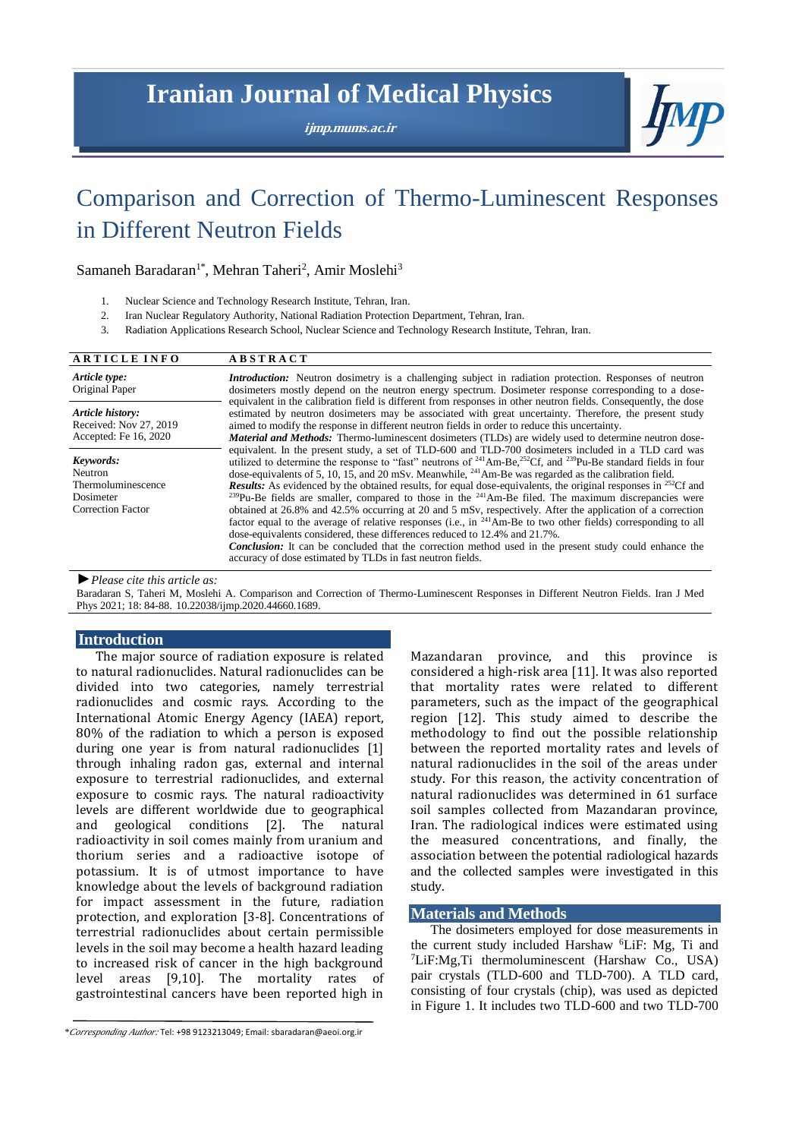## **Iranian Journal of Medical Physics**

**ijmp.mums.ac.ir**



# Comparison and Correction of Thermo-Luminescent Responses in Different Neutron Fields

## Samaneh Baradaran<sup>1\*</sup>, Mehran Taheri<sup>2</sup>, Amir Moslehi<sup>3</sup>

- 1. Nuclear Science and Technology Research Institute, Tehran, Iran.
- 2. Iran Nuclear Regulatory Authority, National Radiation Protection Department, Tehran, Iran.
- 3. Radiation Applications Research School, Nuclear Science and Technology Research Institute, Tehran, Iran.

| <b>ARTICLE INFO</b>                                                                 | <b>ABSTRACT</b>                                                                                                                                                                                                                                                                                                                                                                                                                                                                                                                                                                                                                                                                                                                                                                                                                                                                                                                                                                                                                                                                                                                       |  |  |  |
|-------------------------------------------------------------------------------------|---------------------------------------------------------------------------------------------------------------------------------------------------------------------------------------------------------------------------------------------------------------------------------------------------------------------------------------------------------------------------------------------------------------------------------------------------------------------------------------------------------------------------------------------------------------------------------------------------------------------------------------------------------------------------------------------------------------------------------------------------------------------------------------------------------------------------------------------------------------------------------------------------------------------------------------------------------------------------------------------------------------------------------------------------------------------------------------------------------------------------------------|--|--|--|
| Article type:<br>Original Paper                                                     | <i>Introduction:</i> Neutron dosimetry is a challenging subject in radiation protection. Responses of neutron<br>dosimeters mostly depend on the neutron energy spectrum. Dosimeter response corresponding to a dose-                                                                                                                                                                                                                                                                                                                                                                                                                                                                                                                                                                                                                                                                                                                                                                                                                                                                                                                 |  |  |  |
| Article history:<br>Received: Nov 27, 2019<br>Accepted: Fe 16, 2020                 | equivalent in the calibration field is different from responses in other neutron fields. Consequently, the dose<br>estimated by neutron dosimeters may be associated with great uncertainty. Therefore, the present study<br>aimed to modify the response in different neutron fields in order to reduce this uncertainty.<br><b>Material and Methods:</b> Thermo-luminescent dosimeters (TLDs) are widely used to determine neutron dose-                                                                                                                                                                                                                                                                                                                                                                                                                                                                                                                                                                                                                                                                                            |  |  |  |
| Keywords:<br>Neutron<br>Thermoluminescence<br>Dosimeter<br><b>Correction Factor</b> | equivalent. In the present study, a set of TLD-600 and TLD-700 dosimeters included in a TLD card was<br>utilized to determine the response to "fast" neutrons of $^{241}$ Am-Be, $^{252}$ Cf, and $^{239}$ Pu-Be standard fields in four<br>dose-equivalents of 5, 10, 15, and 20 mSv. Meanwhile, $^{241}$ Am-Be was regarded as the calibration field.<br><b>Results:</b> As evidenced by the obtained results, for equal dose-equivalents, the original responses in <sup>252</sup> Cf and<br><sup>239</sup> Pu-Be fields are smaller, compared to those in the <sup>241</sup> Am-Be filed. The maximum discrepancies were<br>obtained at 26.8% and 42.5% occurring at 20 and 5 mSv, respectively. After the application of a correction<br>factor equal to the average of relative responses (i.e., in <sup>241</sup> Am-Be to two other fields) corresponding to all<br>dose-equivalents considered, these differences reduced to 12.4% and 21.7%.<br><b>Conclusion:</b> It can be concluded that the correction method used in the present study could enhance the<br>accuracy of dose estimated by TLDs in fast neutron fields. |  |  |  |

*►Please cite this article as:*

Baradaran S, Taheri M, Moslehi A. Comparison and Correction of Thermo-Luminescent Responses in Different Neutron Fields. Iran J Med Phys 2021; 18: 84-88. 10.22038/ijmp.2020.44660.1689.

#### **Introduction**

The major source of radiation exposure is related to natural radionuclides. Natural radionuclides can be divided into two categories, namely terrestrial radionuclides and cosmic rays. According to the International Atomic Energy Agency (IAEA) report, 80% of the radiation to which a person is exposed during one year is from natural radionuclides [1] through inhaling radon gas, external and internal exposure to terrestrial radionuclides, and external exposure to cosmic rays. The natural radioactivity levels are different worldwide due to geographical and geological conditions [2]. The natural radioactivity in soil comes mainly from uranium and thorium series and a radioactive isotope of potassium. It is of utmost importance to have knowledge about the levels of background radiation for impact assessment in the future, radiation protection, and exploration [3-8]. Concentrations of terrestrial radionuclides about certain permissible levels in the soil may become a health hazard leading to increased risk of cancer in the high background level areas [9,10]. The mortality rates of gastrointestinal cancers have been reported high in Mazandaran province, and this province is considered a high-risk area [11]. It was also reported that mortality rates were related to different parameters, such as the impact of the geographical region [12]. This study aimed to describe the methodology to find out the possible relationship between the reported mortality rates and levels of natural radionuclides in the soil of the areas under study. For this reason, the activity concentration of natural radionuclides was determined in 61 surface soil samples collected from Mazandaran province, Iran. The radiological indices were estimated using the measured concentrations, and finally, the association between the potential radiological hazards and the collected samples were investigated in this study.

#### **Materials and Methods**

The dosimeters employed for dose measurements in the current study included Harshaw <sup>6</sup>LiF: Mg, Ti and <sup>7</sup>LiF:Mg,Ti thermoluminescent (Harshaw Co., USA) pair crystals (TLD-600 and TLD-700). A TLD card, consisting of four crystals (chip), was used as depicted in Figure 1. It includes two TLD-600 and two TLD-700

*<sup>\*</sup>Corresponding Author:* Tel: +98 9123213049; Email[: sbaradaran@aeoi.org.ir](mailto:sbaradaran@aeoi.org.ir)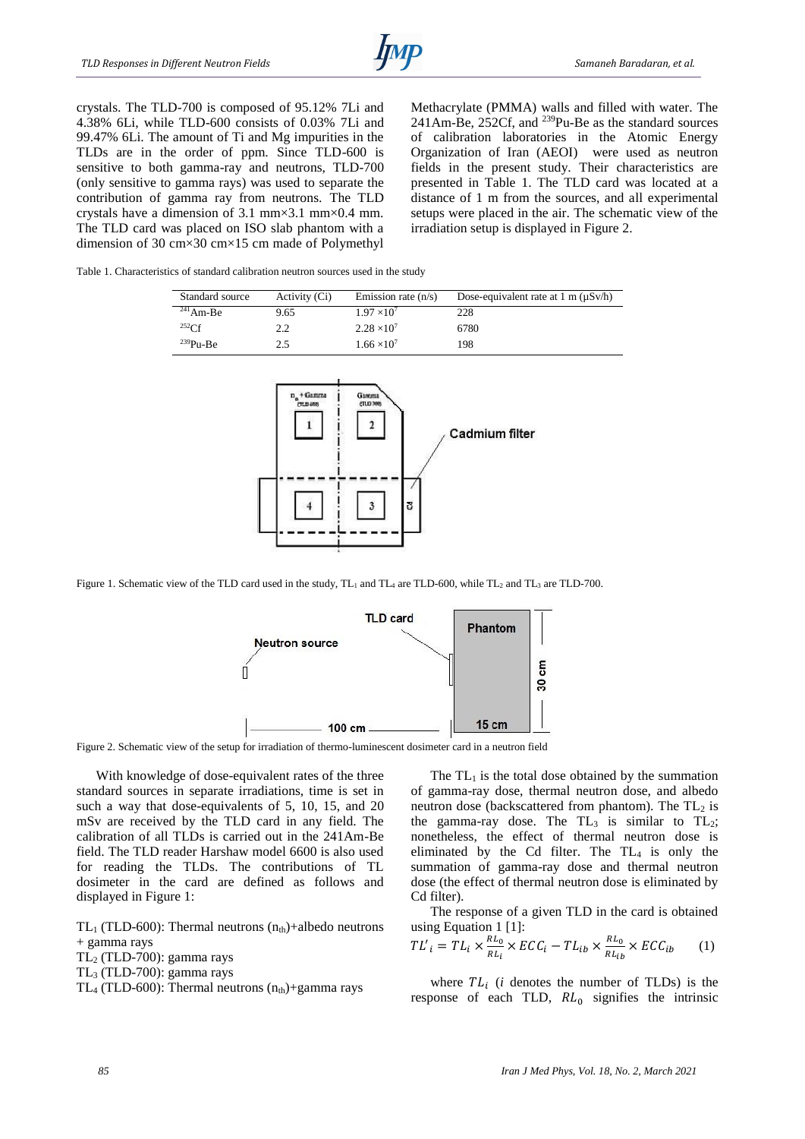crystals. The TLD-700 is composed of 95.12% 7Li and 4.38% 6Li, while TLD-600 consists of 0.03% 7Li and 99.47% 6Li. The amount of Ti and Mg impurities in the TLDs are in the order of ppm. Since TLD-600 is sensitive to both gamma-ray and neutrons, TLD-700 (only sensitive to gamma rays) was used to separate the contribution of gamma ray from neutrons. The TLD crystals have a dimension of 3.1 mm×3.1 mm×0.4 mm. The TLD card was placed on ISO slab phantom with a dimension of 30 cm×30 cm×15 cm made of Polymethyl Methacrylate (PMMA) walls and filled with water. The 241Am-Be, 252Cf, and <sup>239</sup>Pu-Be as the standard sources of calibration laboratories in the Atomic Energy Organization of Iran (AEOI) were used as neutron fields in the present study. Their characteristics are presented in Table 1. The TLD card was located at a distance of 1 m from the sources, and all experimental setups were placed in the air. The schematic view of the irradiation setup is displayed in Figure 2.

Table 1. Characteristics of standard calibration neutron sources used in the study

| Standard source | Activity (Ci) | Emission rate $(n/s)$ | Dose-equivalent rate at $1 \text{ m} (\mu S v / h)$ |
|-----------------|---------------|-----------------------|-----------------------------------------------------|
| $241$ Am-Be     | 9.65          | $1.97 \times 10^{7}$  | 228                                                 |
| 252Cf           | 2.2           | $2.28 \times 10^7$    | 6780                                                |
| $^{239}Pu-Be$   | 2.5           | $1.66 \times 10^{7}$  | 198                                                 |



Figure 1. Schematic view of the TLD card used in the study, TL<sub>1</sub> and TL<sub>4</sub> are TLD-600, while TL<sub>2</sub> and TL<sub>3</sub> are TLD-700.



Figure 2. Schematic view of the setup for irradiation of thermo-luminescent dosimeter card in a neutron field

With knowledge of dose-equivalent rates of the three standard sources in separate irradiations, time is set in such a way that dose-equivalents of 5, 10, 15, and 20 mSv are received by the TLD card in any field. The calibration of all TLDs is carried out in the 241Am-Be field. The TLD reader Harshaw model 6600 is also used for reading the TLDs. The contributions of TL dosimeter in the card are defined as follows and displayed in Figure 1:

TL<sub>1</sub> (TLD-600): Thermal neutrons  $(n<sub>th</sub>)$ +albedo neutrons + gamma rays  $TL_2$  (TLD-700): gamma rays

TL<sup>3</sup> (TLD-700): gamma rays

TL<sub>4</sub> (TLD-600): Thermal neutrons  $(n_{th})$ +gamma rays

The  $TL_1$  is the total dose obtained by the summation of gamma-ray dose, thermal neutron dose, and albedo neutron dose (backscattered from phantom). The  $TL_2$  is the gamma-ray dose. The  $TL_3$  is similar to  $TL_2$ ; nonetheless, the effect of thermal neutron dose is eliminated by the Cd filter. The  $TL_4$  is only the summation of gamma-ray dose and thermal neutron dose (the effect of thermal neutron dose is eliminated by Cd filter).

The response of a given TLD in the card is obtained using Equation 1 [1]:

$$
TL'_{i} = TL_{i} \times \frac{RL_{0}}{RL_{i}} \times ECC_{i} - TL_{ib} \times \frac{RL_{0}}{RL_{ib}} \times ECC_{ib} \tag{1}
$$

where  $TL_i$  (*i* denotes the number of TLDs) is the response of each TLD,  $RL_0$  signifies the intrinsic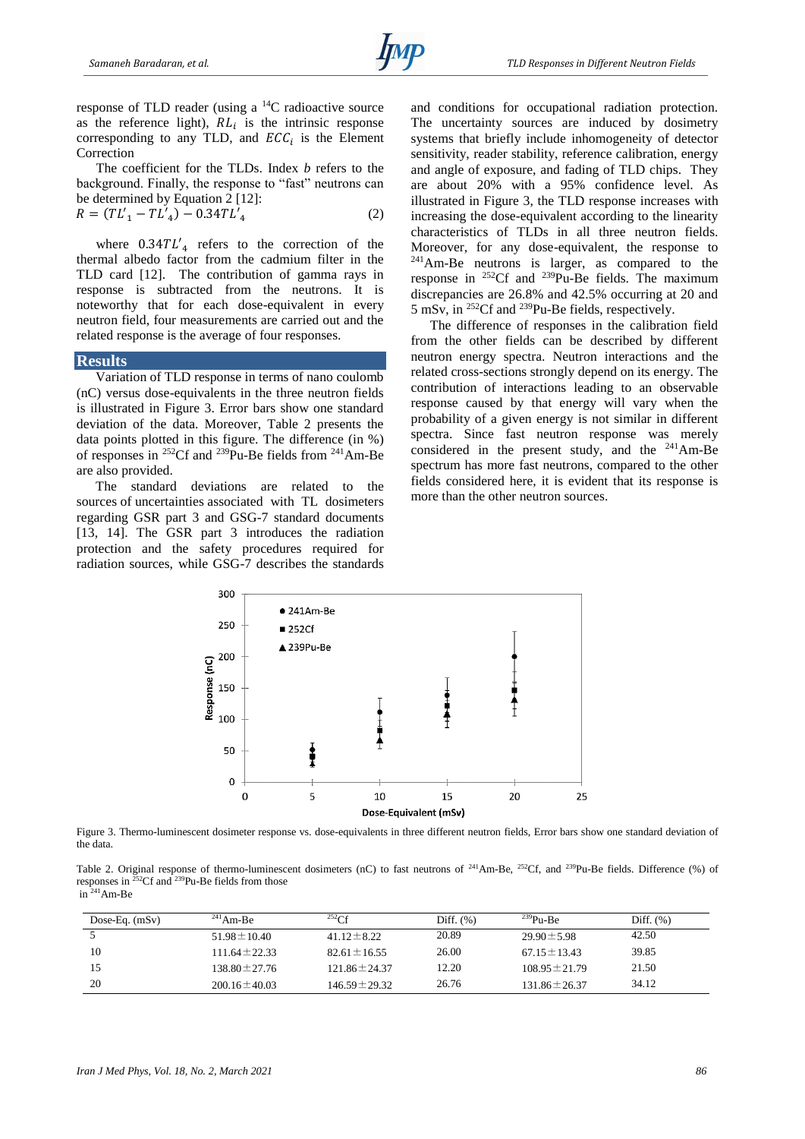response of TLD reader (using a <sup>14</sup>C radioactive source as the reference light),  $RL<sub>i</sub>$  is the intrinsic response corresponding to any TLD, and  $ECC_i$  is the Element Correction

The coefficient for the TLDs. Index *b* refers to the background. Finally, the response to "fast" neutrons can be determined by Equation 2 [12]: ′

$$
R = (TL'_{1} - TL'_{4}) - 0.34TL'_{4}
$$
\n<sup>(2)</sup>

where  $0.34TL'_{4}$  refers to the correction of the thermal albedo factor from the cadmium filter in the TLD card [12]. The contribution of gamma rays in response is subtracted from the neutrons. It is noteworthy that for each dose-equivalent in every neutron field, four measurements are carried out and the related response is the average of four responses.

#### **Results**

Variation of TLD response in terms of nano coulomb (nC) versus dose-equivalents in the three neutron fields is illustrated in Figure 3. Error bars show one standard deviation of the data. Moreover, Table 2 presents the data points plotted in this figure. The difference (in %) of responses in <sup>252</sup>Cf and <sup>239</sup>Pu-Be fields from <sup>241</sup>Am-Be are also provided.

The standard deviations are related to the sources of uncertainties associated with TL dosimeters regarding GSR part 3 and GSG-7 standard documents [13, 14]. The GSR part 3 introduces the radiation protection and the safety procedures required for radiation sources, while GSG-7 describes the standards

and conditions for occupational radiation protection. The uncertainty sources are induced by dosimetry systems that briefly include inhomogeneity of detector sensitivity, reader stability, reference calibration, energy and angle of exposure, and fading of TLD chips. They are about 20% with a 95% confidence level. As illustrated in Figure 3, the TLD response increases with increasing the dose-equivalent according to the linearity characteristics of TLDs in all three neutron fields. Moreover, for any dose-equivalent, the response to <sup>241</sup>Am-Be neutrons is larger, as compared to the response in <sup>252</sup>Cf and <sup>239</sup>Pu-Be fields. The maximum discrepancies are 26.8% and 42.5% occurring at 20 and 5 mSv, in <sup>252</sup>Cf and <sup>239</sup>Pu-Be fields, respectively.

The difference of responses in the calibration field from the other fields can be described by different neutron energy spectra. Neutron interactions and the related cross-sections strongly depend on its energy. The contribution of interactions leading to an observable response caused by that energy will vary when the probability of a given energy is not similar in different spectra. Since fast neutron response was merely considered in the present study, and the <sup>241</sup>Am-Be spectrum has more fast neutrons, compared to the other fields considered here, it is evident that its response is more than the other neutron sources.



Figure 3. Thermo-luminescent dosimeter response vs. dose-equivalents in three different neutron fields, Error bars show one standard deviation of the data.

Table 2. Original response of thermo-luminescent dosimeters (nC) to fast neutrons of <sup>241</sup>Am-Be, <sup>252</sup>Cf, and <sup>239</sup>Pu-Be fields. Difference (%) of responses in  $^{252}$ Cf and  $^{239}$ Pu-Be fields from those  $in \frac{241}{241}$ Am-Be

| Dose-Eq. $(mSv)$ | $^{241}$ Am-Be     | $^{252}$ Cf        | Diff. $(\%)$ | $^{239}Pu-Be$      | Diff. $(\%)$ |
|------------------|--------------------|--------------------|--------------|--------------------|--------------|
|                  | $51.98 \pm 10.40$  | $41.12 \pm 8.22$   | 20.89        | $29.90 \pm 5.98$   | 42.50        |
| 10               | $111.64 \pm 22.33$ | $82.61 \pm 16.55$  | 26.00        | $67.15 \pm 13.43$  | 39.85        |
|                  | $138.80 \pm 27.76$ | $121.86 \pm 24.37$ | 12.20        | $108.95 \pm 21.79$ | 21.50        |
| 20               | $200.16 \pm 40.03$ | $146.59 \pm 29.32$ | 26.76        | $131.86 \pm 26.37$ | 34.12        |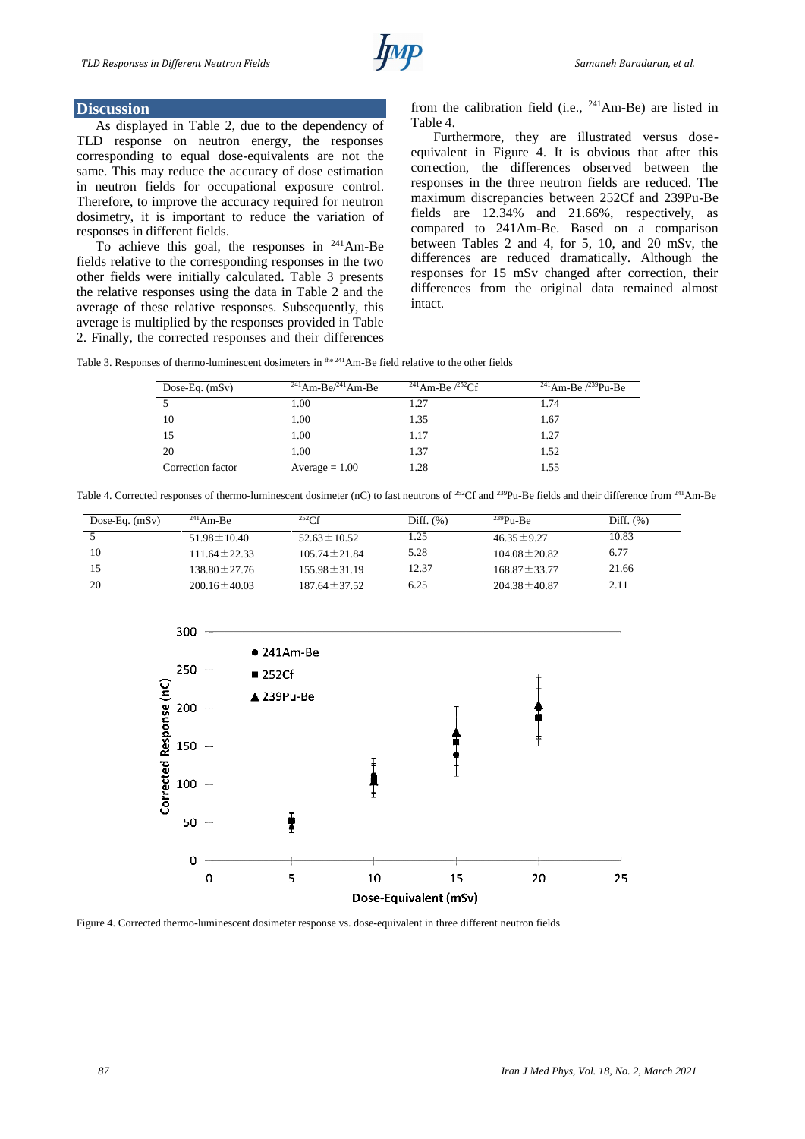## **Discussion**

As displayed in Table 2, due to the dependency of TLD response on neutron energy, the responses corresponding to equal dose-equivalents are not the same. This may reduce the accuracy of dose estimation in neutron fields for occupational exposure control. Therefore, to improve the accuracy required for neutron dosimetry, it is important to reduce the variation of responses in different fields.

To achieve this goal, the responses in <sup>241</sup>Am-Be fields relative to the corresponding responses in the two other fields were initially calculated. Table 3 presents the relative responses using the data in Table 2 and the average of these relative responses. Subsequently, this average is multiplied by the responses provided in Table 2. Finally, the corrected responses and their differences from the calibration field (i.e.,  $241$ Am-Be) are listed in Table 4.

Furthermore, they are illustrated versus doseequivalent in Figure 4. It is obvious that after this correction, the differences observed between the responses in the three neutron fields are reduced. The maximum discrepancies between 252Cf and 239Pu-Be fields are 12.34% and 21.66%, respectively, as compared to 241Am-Be. Based on a comparison between Tables 2 and 4, for 5, 10, and 20 mSv, the differences are reduced dramatically. Although the responses for 15 mSv changed after correction, their differences from the original data remained almost intact.

Table 3. Responses of thermo-luminescent dosimeters in <sup>the 241</sup>Am-Be field relative to the other fields

| Dose-Eq. $(mSv)$  | $^{241}$ Am-Be $/^{241}$ Am-Be | <sup>241</sup> Am-Be $\frac{252}{C}$ | <sup>241</sup> Am-Be $\frac{239}{\mu}$ -Be |
|-------------------|--------------------------------|--------------------------------------|--------------------------------------------|
|                   | 1.00                           | 1.27                                 | 1.74                                       |
| 10                | 1.00                           | 1.35                                 | 1.67                                       |
| 15                | 1.00                           | 1.17                                 | 1.27                                       |
| 20                | 1.00                           | 1.37                                 | 1.52                                       |
| Correction factor | $Average = 1.00$               | 1.28                                 | 1.55                                       |

Table 4. Corrected responses of thermo-luminescent dosimeter (nC) to fast neutrons of <sup>252</sup>Cf and <sup>239</sup>Pu-Be fields and their difference from <sup>241</sup>Am-Be

| Dose-Eq. $(mSv)$ | $^{241}$ Am-Be     | 252CF              | Diff. $(\%)$ | $^{239}P_{11}$ -Be | Diff. $(\%)$ |
|------------------|--------------------|--------------------|--------------|--------------------|--------------|
|                  | $51.98 \pm 10.40$  | $52.63 \pm 10.52$  | 1.25         | $46.35 \pm 9.27$   | 10.83        |
| 10               | $111.64 \pm 22.33$ | $105.74 \pm 21.84$ | 5.28         | $104.08 \pm 20.82$ | 6.77         |
| 15               | $138.80 \pm 27.76$ | $155.98 \pm 31.19$ | 12.37        | $168.87 \pm 33.77$ | 21.66        |
| 20               | $200.16 \pm 40.03$ | $187.64 \pm 37.52$ | 6.25         | $204.38 \pm 40.87$ | 2.11         |



Figure 4. Corrected thermo-luminescent dosimeter response vs. dose-equivalent in three different neutron fields